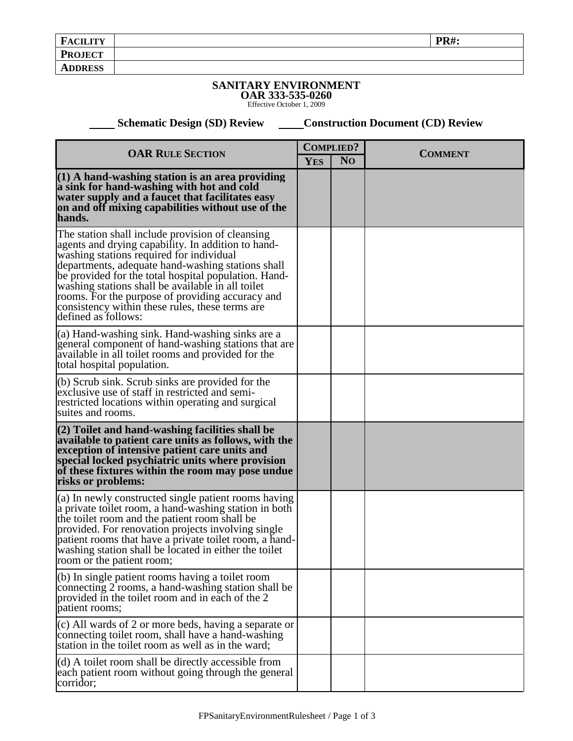| <b>FACILITY</b> | <b>PR#:</b> |
|-----------------|-------------|
| <b>PROJECT</b>  |             |
| <b>ADDRESS</b>  |             |
|                 |             |

## **SANITARY ENVIRONMENT**

**OAR 333-535-0260** Effective October 1, 2009

 **Schematic Design (SD) Review Construction Document (CD) Review** 

| <b>OAR RULE SECTION</b>                                                                                                                                                                                                                                                                                                                                                                                                                            |  | <b>COMPLIED?</b> | <b>COMMENT</b> |
|----------------------------------------------------------------------------------------------------------------------------------------------------------------------------------------------------------------------------------------------------------------------------------------------------------------------------------------------------------------------------------------------------------------------------------------------------|--|------------------|----------------|
|                                                                                                                                                                                                                                                                                                                                                                                                                                                    |  | N <sub>O</sub>   |                |
| $(1)$ A hand-washing station is an area providing<br>a sink for hand-washing with hot and cold<br>water supply and a faucet that facilitates easy<br>on and off mixing capabilities without use of the<br>hands.                                                                                                                                                                                                                                   |  |                  |                |
| The station shall include provision of cleansing<br>agents and drying capability. In addition to hand-<br>washing stations required for individual<br>departments, adequate hand-washing stations shall<br>be provided for the total hospital population. Hand-<br>washing stations shall be available in all toilet<br>rooms. For the purpose of providing accuracy and<br>consistency within these rules, these terms are<br>defined as follows: |  |                  |                |
| (a) Hand-washing sink. Hand-washing sinks are a<br>general component of hand-washing stations that are<br>available in all toilet rooms and provided for the<br>total hospital population.                                                                                                                                                                                                                                                         |  |                  |                |
| (b) Scrub sink. Scrub sinks are provided for the<br>exclusive use of staff in restricted and semi-<br>restricted locations within operating and surgical<br>suites and rooms.                                                                                                                                                                                                                                                                      |  |                  |                |
| (2) Toilet and hand-washing facilities shall be<br>available to patient care units as follows, with the<br>exception of intensive patient care units and<br>special locked psychiatric units where provision<br>of these fixtures within the room may pose undue<br>risks or problems:                                                                                                                                                             |  |                  |                |
| (a) In newly constructed single patient rooms having<br>a private toilet room, a hand-washing station in both<br>the toilet room and the patient room shall be<br>provided. For renovation projects involving single<br>patient rooms that have a private toilet room, a hand-<br>washing station shall be located in either the toilet<br>room or the patient room;                                                                               |  |                  |                |
| (b) In single patient rooms having a toilet room<br>connecting 2 rooms, a hand-washing station shall be<br>provided in the toilet room and in each of the 2<br>patient rooms;                                                                                                                                                                                                                                                                      |  |                  |                |
| (c) All wards of 2 or more beds, having a separate or<br>connecting toilet room, shall have a hand-washing<br>station in the toilet room as well as in the ward;                                                                                                                                                                                                                                                                                   |  |                  |                |
| (d) A toilet room shall be directly accessible from<br>each patient room without going through the general<br>corridor;                                                                                                                                                                                                                                                                                                                            |  |                  |                |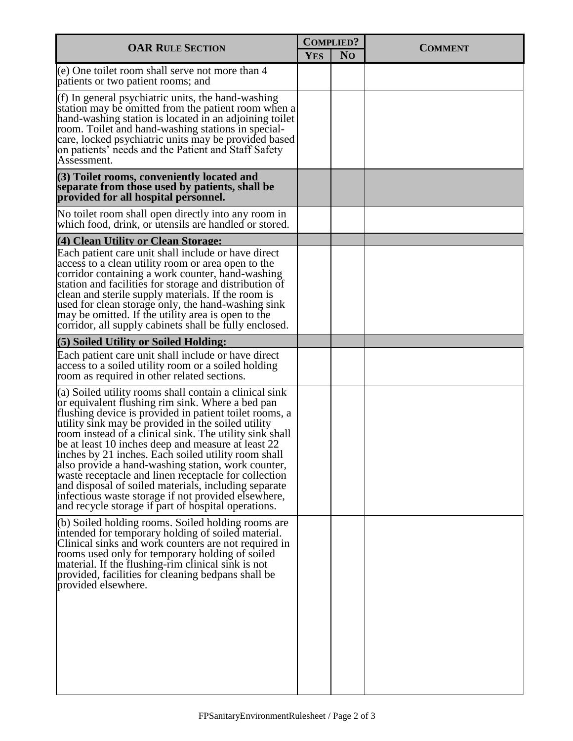| <b>OAR RULE SECTION</b>                                                                                                                                                                                                                                                                                                                                                                                                                                                                                                                                                                                                                                                                |  | <b>COMPLIED?</b> | <b>COMMENT</b> |
|----------------------------------------------------------------------------------------------------------------------------------------------------------------------------------------------------------------------------------------------------------------------------------------------------------------------------------------------------------------------------------------------------------------------------------------------------------------------------------------------------------------------------------------------------------------------------------------------------------------------------------------------------------------------------------------|--|------------------|----------------|
|                                                                                                                                                                                                                                                                                                                                                                                                                                                                                                                                                                                                                                                                                        |  | N <sub>O</sub>   |                |
| (e) One toilet room shall serve not more than 4<br>patients or two patient rooms; and                                                                                                                                                                                                                                                                                                                                                                                                                                                                                                                                                                                                  |  |                  |                |
| (f) In general psychiatric units, the hand-washing<br>station may be omitted from the patient room when a<br>hand-washing station is located in an adjoining toilet<br>room. Toilet and hand-washing stations in special-<br>care, locked psychiatric units may be provided based<br>on patients' needs and the Patient and Staff Safety<br>Assessment.                                                                                                                                                                                                                                                                                                                                |  |                  |                |
| $(3)$ Toilet rooms, conveniently located and<br>separate from those used by patients, shall be<br>provided for all hospital personnel.                                                                                                                                                                                                                                                                                                                                                                                                                                                                                                                                                 |  |                  |                |
| No toilet room shall open directly into any room in<br>which food, drink, or utensils are handled or stored.                                                                                                                                                                                                                                                                                                                                                                                                                                                                                                                                                                           |  |                  |                |
| (4) Clean Utility or Clean Storage:                                                                                                                                                                                                                                                                                                                                                                                                                                                                                                                                                                                                                                                    |  |                  |                |
| Each patient care unit shall include or have direct<br>access to a clean utility room or area open to the<br>corridor containing a work counter, hand-washing<br>station and facilities for storage and distribution of<br>clean and sterile supply materials. If the room is<br>used for clean storage only, the hand-washing sink<br>may be omitted. If the utility area is open to the<br>corridor, all supply cabinets shall be fully enclosed.                                                                                                                                                                                                                                    |  |                  |                |
| (5) Soiled Utility or Soiled Holding:                                                                                                                                                                                                                                                                                                                                                                                                                                                                                                                                                                                                                                                  |  |                  |                |
| Each patient care unit shall include or have direct<br>access to a soiled utility room or a soiled holding<br>room as required in other related sections.                                                                                                                                                                                                                                                                                                                                                                                                                                                                                                                              |  |                  |                |
| (a) Soiled utility rooms shall contain a clinical sink<br>or equivalent flushing rim sink. Where a bed pan<br>flushing device is provided in patient toilet rooms, a<br>utility sink may be provided in the soiled utility<br>room instead of a clinical sink. The utility sink shall<br>be at least 10 inches deep and measure at least 22<br>inches by 21 inches. Each soiled utility room shall<br>also provide a hand-washing station, work counter,<br>waste receptacle and linen receptacle for collection<br>and disposal of soiled materials, including separate<br>infectious waste storage if not provided elsewhere,<br>and recycle storage if part of hospital operations. |  |                  |                |
| (b) Soiled holding rooms. Soiled holding rooms are<br>intended for temporary holding of soiled material.<br>Clinical sinks and work counters are not required in<br>rooms used only for temporary holding of soiled<br>material. If the flushing-rim clinical sink is not<br>provided, facilities for cleaning bedpans shall be<br>provided elsewhere.                                                                                                                                                                                                                                                                                                                                 |  |                  |                |